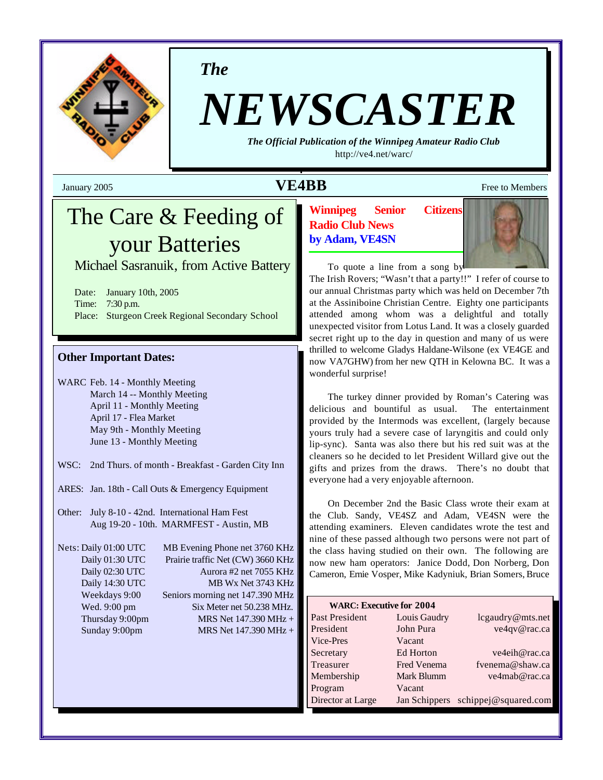

*The*

# *NEWSCASTER*

*The Official Publication of the Winnipeg Amateur Radio Club* <http://ve4.net/warc/>

# **VE4BB** Free to Members

# The Care & Feeding of your Batteries

Michael Sasranuik, from Active Battery

Date: January 10th, 2005 Time: 7:30 p.m. Place: Sturgeon Creek Regional Secondary School

#### **Other Important Dates:**

WARC Feb. 14 - Monthly Meeting March 14 -- Monthly Meeting April 11 - Monthly Meeting April 17 - Flea Market May 9th - Monthly Meeting June 13 - Monthly Meeting

WSC: 2nd Thurs. of month - Breakfast - Garden City Inn

ARES: Jan. 18th - Call Outs & Emergency Equipment

Other: July 8-10 - 42nd. International Ham Fest Aug 19-20 - 10th. MARMFEST - Austin, MB

Nets: Daily 01:00 UTC MB Evening Phone net 3760 KHz Daily 01:30 UTC Prairie traffic Net (CW) 3660 KHz Daily 02:30 UTC Aurora #2 net 7055 KHz Daily 14:30 UTC MB Wx Net 3743 KHz Weekdays 9:00 Seniors morning net 147.390 MHz Wed. 9:00 pm Six Meter net 50.238 MHz. Thursday 9:00pm MRS Net  $147.390 \text{ MHz} +$ Sunday 9:00pm MRS Net 147.390 MHz +

**Winnipeg Senior Citizens Radio Club News by Adam, VE4SN**



To quote a line from a song by

The Irish Rovers; "Wasn't that a party!!" I refer of course to our annual Christmas party which was held on December 7th at the Assiniboine Christian Centre. Eighty one participants attended among whom was a delightful and totally unexpected visitor from Lotus Land. It was a closely guarded secret right up to the day in question and many of us were thrilled to welcome Gladys Haldane-Wilsone (ex VE4GE and now VA7GHW) from her new QTH in Kelowna BC. It was a wonderful surprise!

The turkey dinner provided by Roman's Catering was delicious and bountiful as usual. The entertainment provided by the Intermods was excellent, (largely because yours truly had a severe case of laryngitis and could only lip-sync). Santa was also there but his red suit was at the cleaners so he decided to let President Willard give out the gifts and prizes from the draws. There's no doubt that everyone had a very enjoyable afternoon.

On December 2nd the Basic Class wrote their exam at the Club. Sandy, VE4SZ and Adam, VE4SN were the attending examiners. Eleven candidates wrote the test and nine of these passed although two persons were not part of the class having studied on their own. The following are now new ham operators: Janice Dodd, Don Norberg, Don Cameron, Ernie Vosper, Mike Kadyniuk, Brian Somers, Bruce

| <b>WARC: Executive for 2004</b> |              |                                    |  |  |  |  |
|---------------------------------|--------------|------------------------------------|--|--|--|--|
| Past President                  | Louis Gaudry | lcgaudry@mts.net                   |  |  |  |  |
| President                       | John Pura    | ve4qv@rac.ca                       |  |  |  |  |
| Vice-Pres                       | Vacant       |                                    |  |  |  |  |
| Secretary                       | Ed Horton    | ve4eih@rac.ca                      |  |  |  |  |
| Treasurer                       | Fred Venema  | fvenema@shaw.ca                    |  |  |  |  |
| Membership                      | Mark Blumm   | ve4mab@rac.ca                      |  |  |  |  |
| Program                         | Vacant       |                                    |  |  |  |  |
| Director at Large               |              | Jan Schippers schippej@squared.com |  |  |  |  |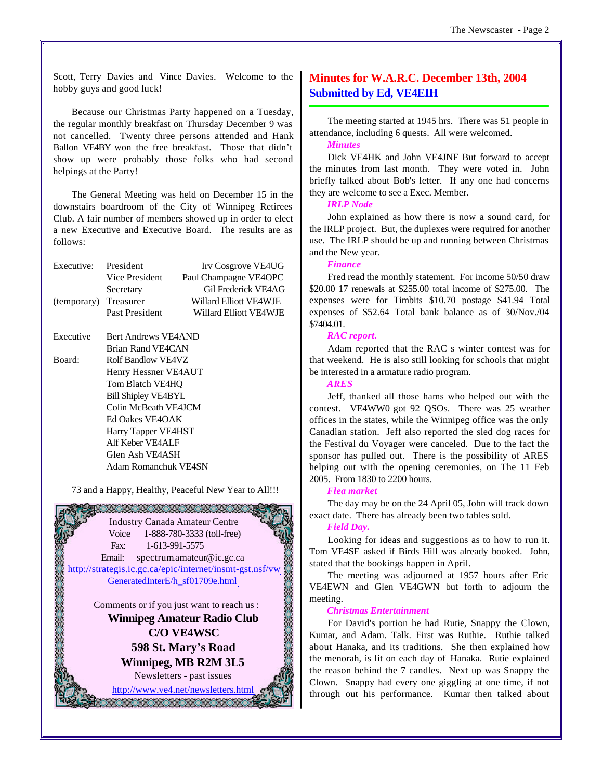Scott, Terry Davies and Vince Davies. Welcome to the hobby guys and good luck!

Because our Christmas Party happened on a Tuesday, the regular monthly breakfast on Thursday December 9 was not cancelled. Twenty three persons attended and Hank Ballon VE4BY won the free breakfast. Those that didn't show up were probably those folks who had second helpings at the Party!

The General Meeting was held on December 15 in the downstairs boardroom of the City of Winnipeg Retirees Club. A fair number of members showed up in order to elect a new Executive and Executive Board. The results are as follows:

| Executive:<br>President |                | Irv Cosgrove VE4UG     |  |  |
|-------------------------|----------------|------------------------|--|--|
|                         | Vice President | Paul Champagne VE4OPC  |  |  |
|                         | Secretary      | Gil Frederick VE4AG    |  |  |
| (temporary) Treasurer   |                | Willard Elliott VE4WJE |  |  |
|                         | Past President | Willard Elliott VF4WJE |  |  |
|                         |                |                        |  |  |

Executive Bert Andrews VE4AND Brian Rand VE4CAN Board: Rolf Bandlow VE4VZ Henry Hessner VE4AUT Tom Blatch VE4HQ Bill Shipley VE4BYL Colin McBeath VE4JCM Ed Oakes VE4OAK Harry Tapper VE4HST Alf Keber VE4ALF Glen Ash VE4ASH Adam Romanchuk VE4SN

73 and a Happy, Healthy, Peaceful New Year to All!!!



## **Minutes for W.A.R.C. December 13th, 2004 Submitted by Ed, VE4EIH**

The meeting started at 1945 hrs. There was 51 people in attendance, including 6 quests. All were welcomed.

#### *Minutes*

Dick VE4HK and John VE4JNF But forward to accept the minutes from last month. They were voted in. John briefly talked about Bob's letter. If any one had concerns they are welcome to see a Exec. Member.

#### *IRLP Node*

John explained as how there is now a sound card, for the IRLP project. But, the duplexes were required for another use. The IRLP should be up and running between Christmas and the New year.

#### *Finance*

Fred read the monthly statement. For income 50/50 draw \$20.00 17 renewals at \$255.00 total income of \$275.00. The expenses were for Timbits \$10.70 postage \$41.94 Total expenses of \$52.64 Total bank balance as of 30/Nov./04 \$7404.01.

#### *RAC report.*

Adam reported that the RAC s winter contest was for that weekend. He is also still looking for schools that might be interested in a armature radio program.

*ARES*

Jeff, thanked all those hams who helped out with the contest. VE4WW0 got 92 QSOs. There was 25 weather offices in the states, while the Winnipeg office was the only Canadian station. Jeff also reported the sled dog races for the Festival du Voyager were canceled. Due to the fact the sponsor has pulled out. There is the possibility of ARES helping out with the opening ceremonies, on The 11 Feb 2005. From 1830 to 2200 hours.

#### *Flea market*

The day may be on the 24 April 05, John will track down exact date. There has already been two tables sold.

#### *Field Day.*

Looking for ideas and suggestions as to how to run it. Tom VE4SE asked if Birds Hill was already booked. John, stated that the bookings happen in April.

The meeting was adjourned at 1957 hours after Eric VE4EWN and Glen VE4GWN but forth to adjourn the meeting.

#### *Christmas Entertainment*

For David's portion he had Rutie, Snappy the Clown, Kumar, and Adam. Talk. First was Ruthie. Ruthie talked about Hanaka, and its traditions. She then explained how the menorah, is lit on each day of Hanaka. Rutie explained the reason behind the 7 candles. Next up was Snappy the Clown. Snappy had every one giggling at one time, if not through out his performance. Kumar then talked about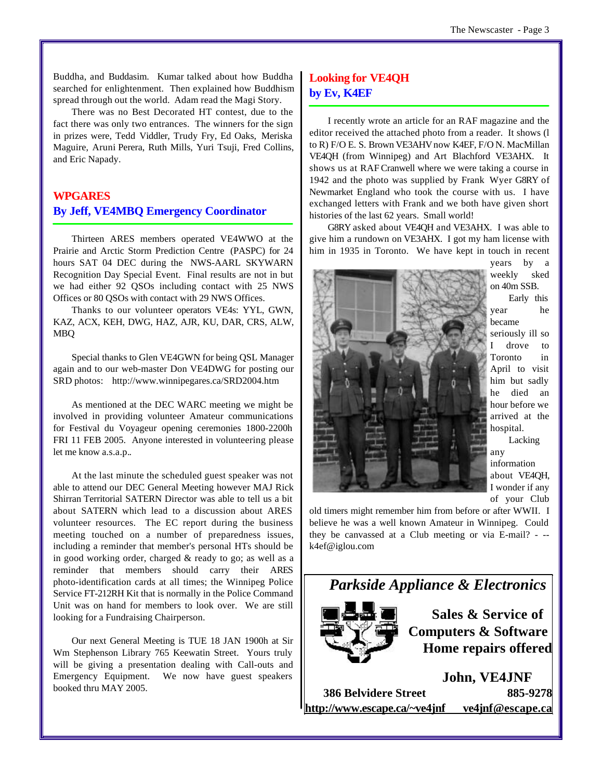Buddha, and Buddasim. Kumar talked about how Buddha searched for enlightenment. Then explained how Buddhism spread through out the world. Adam read the Magi Story.

There was no Best Decorated HT contest, due to the fact there was only two entrances. The winners for the sign in prizes were, Tedd Viddler, Trudy Fry, Ed Oaks, Meriska Maguire, Aruni Perera, Ruth Mills, Yuri Tsuji, Fred Collins, and Eric Napady.

# **WPGARES By Jeff, VE4MBQ Emergency Coordinator**

Thirteen ARES members operated VE4WWO at the Prairie and Arctic Storm Prediction Centre (PASPC) for 24 hours SAT 04 DEC during the NWS-AARL SKYWARN Recognition Day Special Event. Final results are not in but we had either 92 QSOs including contact with 25 NWS Offices or 80 QSOs with contact with 29 NWS Offices.

Thanks to our volunteer operators VE4s: YYL, GWN, KAZ, ACX, KEH, DWG, HAZ, AJR, KU, DAR, CRS, ALW, MBQ

Special thanks to Glen VE4GWN for being QSL Manager again and to our web-master Don VE4DWG for posting our SRD photos: <http://www.winnipegares.ca/SRD2004.htm>

As mentioned at the DEC WARC meeting we might be involved in providing volunteer Amateur communications for Festival du Voyageur opening ceremonies 1800-2200h FRI 11 FEB 2005. Anyone interested in volunteering please let me know a.s.a.p..

At the last minute the scheduled guest speaker was not able to attend our DEC General Meeting however MAJ Rick Shirran Territorial SATERN Director was able to tell us a bit about SATERN which lead to a discussion about ARES volunteer resources. The EC report during the business meeting touched on a number of preparedness issues, including a reminder that member's personal HTs should be in good working order, charged & ready to go; as well as a reminder that members should carry their ARES photo-identification cards at all times; the Winnipeg Police Service FT-212RH Kit that is normally in the Police Command Unit was on hand for members to look over. We are still looking for a Fundraising Chairperson.

Our next General Meeting is TUE 18 JAN 1900h at Sir Wm Stephenson Library 765 Keewatin Street. Yours truly will be giving a presentation dealing with Call-outs and Emergency Equipment. We now have guest speakers booked thru MAY 2005.

# **Looking for VE4QH by Ev, K4EF**

I recently wrote an article for an RAF magazine and the editor received the attached photo from a reader. It shows (l to R) F/O E. S. Brown VE3AHV now K4EF, F/O N. MacMillan VE4QH (from Winnipeg) and Art Blachford VE3AHX. It shows us at RAF Cranwell where we were taking a course in 1942 and the photo was supplied by Frank Wyer G8RY of Newmarket England who took the course with us. I have exchanged letters with Frank and we both have given short histories of the last 62 years. Small world!

G8RY asked about VE4QH and VE3AHX. I was able to give him a rundown on VE3AHX. I got my ham license with him in 1935 in Toronto. We have kept in touch in recent



years by a weekly sked on 40m SSB.

Early this year he became seriously ill so I drove to Toronto in April to visit him but sadly he died an hour before we arrived at the hospital.

Lacking any information about VE4QH, I wonder if any of your Club

old timers might remember him from before or after WWII. I believe he was a well known Amateur in Winnipeg. Could they be canvassed at a Club meeting or via E-mail? - - k4ef@iglou.com



| <b>386 Belvidere Street</b>  | 885-9278         |
|------------------------------|------------------|
| http://www.escape.ca/~ve4jnf | ve4jnf@escape.ca |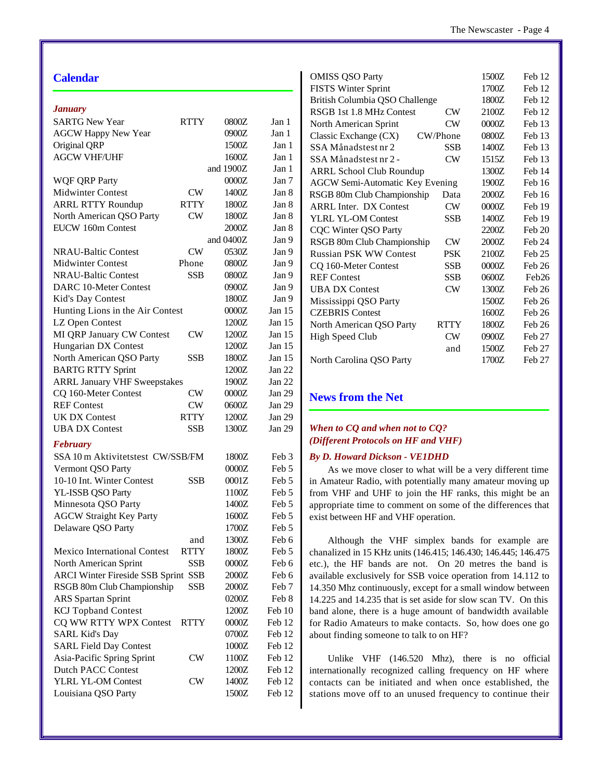| <b>Calendar</b>                                 |               |           |          | <b>OMISS QSO Party</b>                                         | 1500Z          | Feb 12           |
|-------------------------------------------------|---------------|-----------|----------|----------------------------------------------------------------|----------------|------------------|
|                                                 |               |           |          | <b>FISTS Winter Sprint</b><br>British Columbia QSO Challenge   | 1700Z<br>1800Z | Feb 12<br>Feb 12 |
| <b>January</b>                                  |               |           |          | RSGB 1st 1.8 MHz Contest<br><b>CW</b>                          | 2100Z          | Feb 12           |
| <b>SARTG New Year</b>                           | <b>RTTY</b>   | 0800Z     | Jan 1    | <b>CW</b><br>North American Sprint                             | 0000Z          | Feb 13           |
| <b>AGCW Happy New Year</b>                      |               | 0900Z     | Jan 1    | Classic Exchange (CX)<br>CW/Phone                              | 0800Z          | Feb 13           |
| Original QRP                                    |               | 1500Z     | Jan 1    | <b>SSB</b><br>SSA Månadstest nr 2                              | 1400Z          | Feb 13           |
| <b>AGCW VHF/UHF</b>                             |               | 1600Z     | Jan 1    | $\mathrm{CW}$<br>SSA Månadstest nr 2 -                         | 1515Z          | Feb 13           |
|                                                 |               | and 1900Z | Jan 1    | <b>ARRL School Club Roundup</b>                                | 1300Z          | Feb 14           |
| <b>WQF QRP Party</b>                            |               | $0000Z$   | Jan 7    | <b>AGCW Semi-Automatic Key Evening</b>                         | 1900Z          | Feb 16           |
| Midwinter Contest                               | ${\rm\bf CW}$ | 1400Z     | Jan 8    | RSGB 80m Club Championship<br>Data                             | 2000Z          | Feb 16           |
| <b>ARRL RTTY Roundup</b>                        | <b>RTTY</b>   | 1800Z     | Jan 8    | $\mathrm{CW}$<br><b>ARRL Inter. DX Contest</b>                 | $0000Z$        | Feb 19           |
| North American QSO Party                        | $\mathrm{CW}$ | 1800Z     | Jan 8    | YLRL YL-OM Contest<br><b>SSB</b>                               | 1400Z          | Feb 19           |
| EUCW 160m Contest                               |               | $2000Z$   | Jan 8    | <b>CQC Winter QSO Party</b>                                    | 2200Z          | Feb 20           |
|                                                 |               | and 0400Z | Jan 9    | RSGB 80m Club Championship<br>$\mathrm{CW}$                    | 2000Z          | Feb 24           |
| <b>NRAU-Baltic Contest</b>                      | $\mathrm{CW}$ | 0530Z     | Jan 9    | <b>Russian PSK WW Contest</b><br><b>PSK</b>                    | 2100Z          | Feb 25           |
| <b>Midwinter Contest</b>                        | Phone         | 0800Z     | Jan 9    | <b>SSB</b><br>CQ 160-Meter Contest                             | 0000Z          | Feb 26           |
| <b>NRAU-Baltic Contest</b>                      | <b>SSB</b>    | 0800Z     | Jan 9    | <b>SSB</b><br><b>REF Contest</b>                               | 0600Z          | Feb26            |
| DARC 10-Meter Contest                           |               | 0900Z     | Jan 9    | $\mathrm{CW}$<br><b>UBA DX Contest</b>                         | 1300Z          | Feb 26           |
| Kid's Day Contest                               |               | 1800Z     | Jan 9    | Mississippi QSO Party                                          | 1500Z          | Feb 26           |
| Hunting Lions in the Air Contest                |               | 0000Z     | Jan $15$ | <b>CZEBRIS</b> Contest                                         | 1600Z          | Feb 26           |
| LZ Open Contest                                 |               | 1200Z     | Jan $15$ | North American QSO Party<br><b>RTTY</b>                        | 1800Z          | Feb 26           |
| MI QRP January CW Contest                       | <b>CW</b>     | 1200Z     | Jan $15$ | $\mathrm{CW}$<br><b>High Speed Club</b>                        | 0900Z          | Feb 27           |
| Hungarian DX Contest                            |               | 1200Z     | Jan $15$ | and                                                            | 1500Z          | Feb 27           |
| North American QSO Party                        | <b>SSB</b>    | 1800Z     | Jan 15   | North Carolina QSO Party                                       | 1700Z          | Feb 27           |
| <b>BARTG RTTY Sprint</b>                        |               | 1200Z     | Jan 22   |                                                                |                |                  |
| <b>ARRL January VHF Sweepstakes</b>             |               | 1900Z     | Jan 22   |                                                                |                |                  |
| CQ 160-Meter Contest                            | <b>CW</b>     | $0000Z$   | Jan 29   | <b>News from the Net</b>                                       |                |                  |
| <b>REF Contest</b>                              | $\mathrm{CW}$ | 0600Z     | Jan 29   |                                                                |                |                  |
| <b>UK DX Contest</b>                            | <b>RTTY</b>   | 1200Z     | Jan 29   |                                                                |                |                  |
| <b>UBA DX Contest</b>                           | <b>SSB</b>    | 1300Z     | Jan 29   | When to CQ and when not to CQ?                                 |                |                  |
| <b>February</b>                                 |               |           |          | (Different Protocols on HF and VHF)                            |                |                  |
| SSA 10 m Aktivitetstest CW/SSB/FM               |               | 1800Z     | Feb 3    | <b>By D. Howard Dickson - VEIDHD</b>                           |                |                  |
| Vermont QSO Party                               |               | $0000Z$   | Feb 5    | As we move closer to what will be a very different time        |                |                  |
| 10-10 Int. Winter Contest                       | <b>SSB</b>    | $0001Z$   | Feb 5    | in Amateur Radio, with potentially many amateur moving up      |                |                  |
| YL-ISSB QSO Party                               |               | 1100Z     | Feb 5    | from VHF and UHF to join the HF ranks, this might be an        |                |                  |
| Minnesota QSO Party                             |               | 1400Z     | Feb 5    | appropriate time to comment on some of the differences that    |                |                  |
| <b>AGCW Straight Key Party</b>                  |               | 1600Z     | Feb 5    | exist between HF and VHF operation.                            |                |                  |
| Delaware QSO Party                              |               | 1700Z     | Feb 5    |                                                                |                |                  |
|                                                 | and           | 1300Z     | Feb 6    | Although the VHF simplex bands for example are                 |                |                  |
| Mexico International Contest                    | <b>RTTY</b>   | 1800Z     | Feb 5    | chanalized in 15 KHz units (146.415; 146.430; 146.445; 146.475 |                |                  |
| North American Sprint                           | <b>SSB</b>    | $0000Z$   | Feb 6    |                                                                |                |                  |
| ARCI Winter Fireside SSB Sprint SSB             |               | $2000Z$   | Feb 6    | etc.), the HF bands are not. On 20 metres the band is          |                |                  |
| RSGB 80m Club Championship                      | <b>SSB</b>    | $2000Z$   | Feb 7    | available exclusively for SSB voice operation from 14.112 to   |                |                  |
| ARS Spartan Sprint                              |               | 0200Z     | Feb 8    | 14.350 Mhz continuously, except for a small window between     |                |                  |
| <b>KCJ</b> Topband Contest                      |               | 1200Z     | Feb 10   | 14.225 and 14.235 that is set aside for slow scan TV. On this  |                |                  |
|                                                 |               | 0000Z     | Feb 12   | band alone, there is a huge amount of bandwidth available      |                |                  |
| CQ WW RTTY WPX Contest<br><b>SARL Kid's Day</b> | <b>RTTY</b>   | 0700Z     |          | for Radio Amateurs to make contacts. So, how does one go       |                |                  |
|                                                 |               |           | Feb 12   | about finding someone to talk to on HF?                        |                |                  |
| <b>SARL Field Day Contest</b>                   |               | 1000Z     | Feb 12   |                                                                |                |                  |
| Asia-Pacific Spring Sprint                      | CW            | 1100Z     | Feb 12   | Unlike VHF (146.520 Mhz), there is no official                 |                |                  |
| Dutch PACC Contest                              |               | 1200Z     | Feb 12   | internationally recognized calling frequency on HF where       |                |                  |
| YLRL YL-OM Contest                              | CW            | 1400Z     | Feb 12   | contacts can be initiated and when once established, the       |                |                  |
| Louisiana QSO Party                             |               | 1500Z     | Feb 12   | stations move off to an unused frequency to continue their     |                |                  |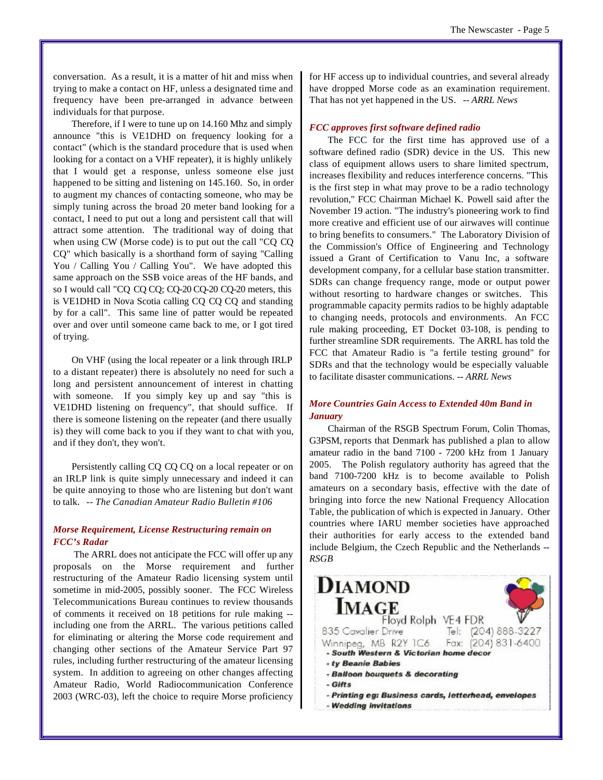conversation. As a result, it is a matter of hit and miss when trying to make a contact on HF, unless a designated time and frequency have been pre-arranged in advance between individuals for that purpose.

Therefore, if I were to tune up on 14.160 Mhz and simply announce "this is VE1DHD on frequency looking for a contact" (which is the standard procedure that is used when looking for a contact on a VHF repeater), it is highly unlikely that I would get a response, unless someone else just happened to be sitting and listening on 145.160. So, in order to augment my chances of contacting someone, who may be simply tuning across the broad 20 meter band looking for a contact, I need to put out a long and persistent call that will attract some attention. The traditional way of doing that when using CW (Morse code) is to put out the call "CQ CQ CQ" which basically is a shorthand form of saying "Calling You / Calling You / Calling You". We have adopted this same approach on the SSB voice areas of the HF bands, and so I would call "CQ CQ CQ; CQ-20 CQ-20 CQ-20 meters, this is VE1DHD in Nova Scotia calling CQ CQ CQ and standing by for a call". This same line of patter would be repeated over and over until someone came back to me, or I got tired of trying.

On VHF (using the local repeater or a link through IRLP to a distant repeater) there is absolutely no need for such a long and persistent announcement of interest in chatting with someone. If you simply key up and say "this is VE1DHD listening on frequency", that should suffice. If there is someone listening on the repeater (and there usually is) they will come back to you if they want to chat with you, and if they don't, they won't.

Persistently calling CQ CQ CQ on a local repeater or on an IRLP link is quite simply unnecessary and indeed it can be quite annoying to those who are listening but don't want to talk. *-- The Canadian Amateur Radio Bulletin #106*

#### *Morse Requirement, License Restructuring remain on FCC's Radar*

 The ARRL does not anticipate the FCC will offer up any proposals on the Morse requirement and further restructuring of the Amateur Radio licensing system until sometime in mid-2005, possibly sooner. The FCC Wireless Telecommunications Bureau continues to review thousands of comments it received on 18 petitions for rule making - including one from the ARRL. The various petitions called for eliminating or altering the Morse code requirement and changing other sections of the Amateur Service Part 97 rules, including further restructuring of the amateur licensing system. In addition to agreeing on other changes affecting Amateur Radio, World Radiocommunication Conference 2003 (WRC-03), left the choice to require Morse proficiency

for HF access up to individual countries, and several already have dropped Morse code as an examination requirement. That has not yet happened in the US. *-- ARRL News*

#### *FCC approves first software defined radio*

The FCC for the first time has approved use of a software defined radio (SDR) device in the US. This new class of equipment allows users to share limited spectrum, increases flexibility and reduces interference concerns. "This is the first step in what may prove to be a radio technology revolution," FCC Chairman Michael K. Powell said after the November 19 action. "The industry's pioneering work to find more creative and efficient use of our airwaves will continue to bring benefits to consumers." The Laboratory Division of the Commission's Office of Engineering and Technology issued a Grant of Certification to Vanu Inc, a software development company, for a cellular base station transmitter. SDRs can change frequency range, mode or output power without resorting to hardware changes or switches. This programmable capacity permits radios to be highly adaptable to changing needs, protocols and environments. An FCC rule making proceeding, ET Docket 03-108, is pending to further streamline SDR requirements. The ARRL has told the FCC that Amateur Radio is "a fertile testing ground" for SDRs and that the technology would be especially valuable to facilitate disaster communications. *-- ARRL News*

#### *More Countries Gain Access to Extended 40m Band in January*

Chairman of the RSGB Spectrum Forum, Colin Thomas, G3PSM, reports that Denmark has published a plan to allow amateur radio in the band 7100 - 7200 kHz from 1 January 2005. The Polish regulatory authority has agreed that the band 7100-7200 kHz is to become available to Polish amateurs on a secondary basis, effective with the date of bringing into force the new National Frequency Allocation Table, the publication of which is expected in January. Other countries where IARU member societies have approached their authorities for early access to the extended band include Belgium, the Czech Republic and the Netherlands *-- RSGB*

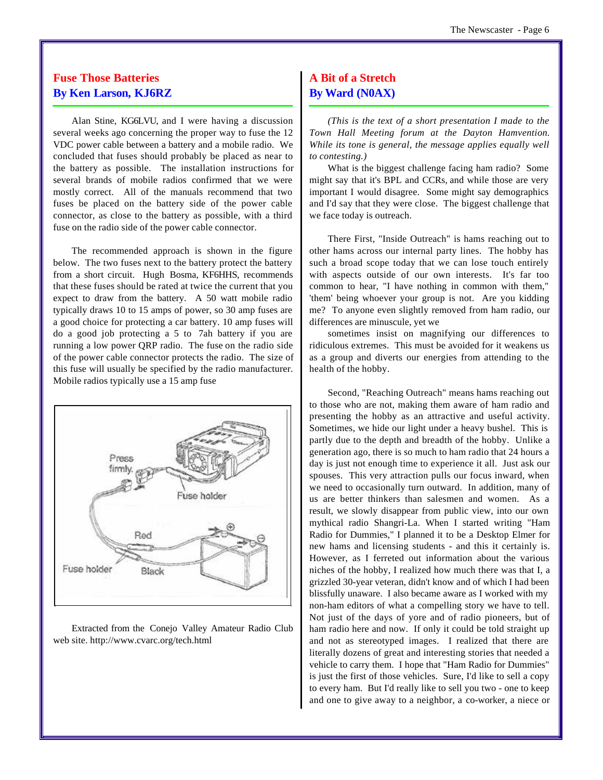# **Fuse Those Batteries By Ken Larson, KJ6RZ**

Alan Stine, KG6LVU, and I were having a discussion several weeks ago concerning the proper way to fuse the 12 VDC power cable between a battery and a mobile radio. We concluded that fuses should probably be placed as near to the battery as possible. The installation instructions for several brands of mobile radios confirmed that we were mostly correct. All of the manuals recommend that two fuses be placed on the battery side of the power cable connector, as close to the battery as possible, with a third fuse on the radio side of the power cable connector.

The recommended approach is shown in the figure below. The two fuses next to the battery protect the battery from a short circuit. Hugh Bosma, KF6HHS, recommends that these fuses should be rated at twice the current that you expect to draw from the battery. A 50 watt mobile radio typically draws 10 to 15 amps of power, so 30 amp fuses are a good choice for protecting a car battery. 10 amp fuses will do a good job protecting a 5 to 7ah battery if you are running a low power QRP radio. The fuse on the radio side of the power cable connector protects the radio. The size of this fuse will usually be specified by the radio manufacturer. Mobile radios typically use a 15 amp fuse



Extracted from the Conejo Valley Amateur Radio Club web site. <http://www.cvarc.org/tech.html>

# **A Bit of a Stretch By Ward (N0AX)**

*(This is the text of a short presentation I made to the Town Hall Meeting forum at the Dayton Hamvention. While its tone is general, the message applies equally well to contesting.)*

What is the biggest challenge facing ham radio? Some might say that it's BPL and CCRs, and while those are very important I would disagree. Some might say demographics and I'd say that they were close. The biggest challenge that we face today is outreach.

There First, "Inside Outreach" is hams reaching out to other hams across our internal party lines. The hobby has such a broad scope today that we can lose touch entirely with aspects outside of our own interests. It's far too common to hear, "I have nothing in common with them," 'them' being whoever your group is not. Are you kidding me? To anyone even slightly removed from ham radio, our differences are minuscule, yet we

sometimes insist on magnifying our differences to ridiculous extremes. This must be avoided for it weakens us as a group and diverts our energies from attending to the health of the hobby.

Second, "Reaching Outreach" means hams reaching out to those who are not, making them aware of ham radio and presenting the hobby as an attractive and useful activity. Sometimes, we hide our light under a heavy bushel. This is partly due to the depth and breadth of the hobby. Unlike a generation ago, there is so much to ham radio that 24 hours a day is just not enough time to experience it all. Just ask our spouses. This very attraction pulls our focus inward, when we need to occasionally turn outward. In addition, many of us are better thinkers than salesmen and women. As a result, we slowly disappear from public view, into our own mythical radio Shangri-La. When I started writing "Ham Radio for Dummies," I planned it to be a Desktop Elmer for new hams and licensing students - and this it certainly is. However, as I ferreted out information about the various niches of the hobby, I realized how much there was that I, a grizzled 30-year veteran, didn't know and of which I had been blissfully unaware. I also became aware as I worked with my non-ham editors of what a compelling story we have to tell. Not just of the days of yore and of radio pioneers, but of ham radio here and now. If only it could be told straight up and not as stereotyped images. I realized that there are literally dozens of great and interesting stories that needed a vehicle to carry them. I hope that "Ham Radio for Dummies" is just the first of those vehicles. Sure, I'd like to sell a copy to every ham. But I'd really like to sell you two - one to keep and one to give away to a neighbor, a co-worker, a niece or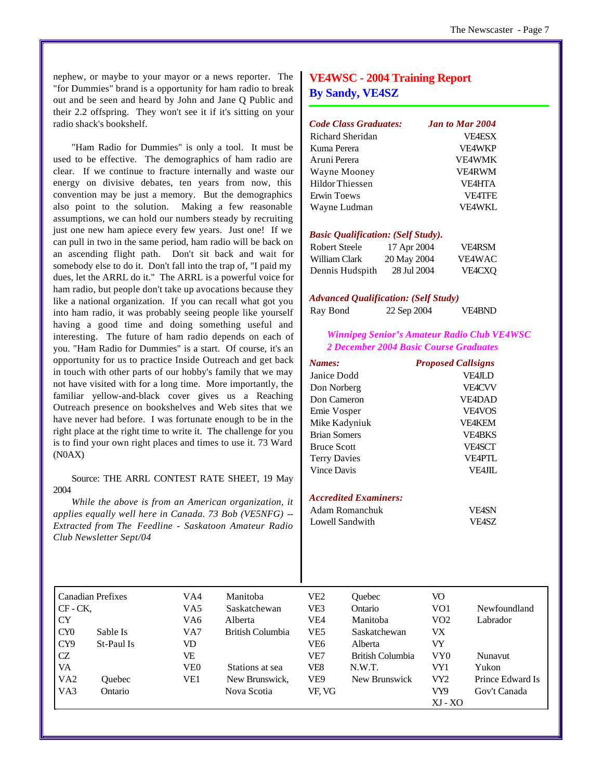nephew, or maybe to your mayor or a news reporter. The "for Dummies" brand is a opportunity for ham radio to break out and be seen and heard by John and Jane Q Public and their 2.2 offspring. They won't see it if it's sitting on your radio shack's bookshelf.

"Ham Radio for Dummies" is only a tool. It must be used to be effective. The demographics of ham radio are clear. If we continue to fracture internally and waste our energy on divisive debates, ten years from now, this convention may be just a memory. But the demographics also point to the solution. Making a few reasonable assumptions, we can hold our numbers steady by recruiting just one new ham apiece every few years. Just one! If we can pull in two in the same period, ham radio will be back on an ascending flight path. Don't sit back and wait for somebody else to do it. Don't fall into the trap of, "I paid my dues, let the ARRL do it." The ARRL is a powerful voice for ham radio, but people don't take up avocations because they like a national organization. If you can recall what got you into ham radio, it was probably seeing people like yourself having a good time and doing something useful and interesting. The future of ham radio depends on each of you. "Ham Radio for Dummies" is a start. Of course, it's an opportunity for us to practice Inside Outreach and get back in touch with other parts of our hobby's family that we may not have visited with for a long time. More importantly, the familiar yellow-and-black cover gives us a Reaching Outreach presence on bookshelves and Web sites that we have never had before. I was fortunate enough to be in the right place at the right time to write it. The challenge for you is to find your own right places and times to use it. 73 Ward (N0AX)

#### Source: THE ARRL CONTEST RATE SHEET, 19 May 2004

*While the above is from an American organization, it applies equally well here in Canada. 73 Bob (VE5NFG) -- Extracted from The Feedline - Saskatoon Amateur Radio Club Newsletter Sept/04*

### **VE4WSC - 2004 Training Report By Sandy, VE4SZ**

| Code Class Graduates:                     |             | <b>Jan to Mar 2004</b> |
|-------------------------------------------|-------------|------------------------|
| Richard Sheridan                          |             | <b>VF4ESX</b>          |
| Kuma Perera                               |             | <b>VF4WKP</b>          |
| Aruni Perera                              |             | <b>VE4WMK</b>          |
| Wayne Mooney                              |             | <b>VE4RWM</b>          |
| Hildor Thiessen                           |             | <b>VF4HTA</b>          |
| Erwin Toews                               |             | <b>VE4TFE</b>          |
| Wayne Ludman                              |             | <b>VE4WKL</b>          |
| <b>Basic Qualification: (Self Study).</b> |             |                        |
| Robert Steele                             | 17 Apr 2004 | <b>VF4RSM</b>          |
| William Clark                             | 20 May 2004 | <b>VE4WAC</b>          |

#### *Advanced Qualification: (Self Study)*

|          | ___ |             | ______ |               |
|----------|-----|-------------|--------|---------------|
| Ray Bond |     | 22 Sep 2004 |        | <b>VE4BND</b> |

Dennis Hudspith 28 Jul 2004 VE4CXQ

#### *Winnipeg Senior's Amateur Radio Club VE4WSC 2 December 2004 Basic Course Graduates*

| <b>Proposed Callsigns</b> |
|---------------------------|
| <b>VFAJLD</b>             |
| <b>VFACVV</b>             |
| <b>VE4DAD</b>             |
| <b>VE4VOS</b>             |
| <b>VE4KEM</b>             |
| <b>VE4BKS</b>             |
| <b>VEASCT</b>             |
| <b>VE4PTL</b>             |
| VF4JIL                    |
|                           |

#### *Accredited Examiners:*

| Adam Romanchuk  | <b>VE4SN</b> |
|-----------------|--------------|
| Lowell Sandwith | VF4SZ        |

|                 | <b>Canadian Prefixes</b> | VA4 | Manitoba         | VE2    | Ouebec           | VO              |                  |
|-----------------|--------------------------|-----|------------------|--------|------------------|-----------------|------------------|
| $CF - CK$       |                          | VA5 | Saskatchewan     | VE3    | Ontario          | VO1             | Newfoundland     |
| <b>CY</b>       |                          | VA6 | Alberta          | VE4    | Manitoba         | VO <sub>2</sub> | Labrador         |
| CY0             | Sable Is                 | VA7 | British Columbia | VE5    | Saskatchewan     | VX              |                  |
| CY <sub>9</sub> | St-Paul Is               | VD  |                  | VE6    | Alberta          | VY              |                  |
| CZ              |                          | VE  |                  | VE7    | British Columbia | VY0             | <b>Nunavut</b>   |
| VA              |                          | VE0 | Stations at sea  | VE8    | N.W.T.           | VY1             | Yukon            |
| VA <sub>2</sub> | <b>Ouebec</b>            | VE1 | New Brunswick.   | VE9    | New Brunswick    | VY2             | Prince Edward Is |
| VA3             | Ontario                  |     | Nova Scotia      | VF. VG |                  | VY9             | Gov't Canada     |
|                 |                          |     |                  |        |                  | $XJ - XO$       |                  |